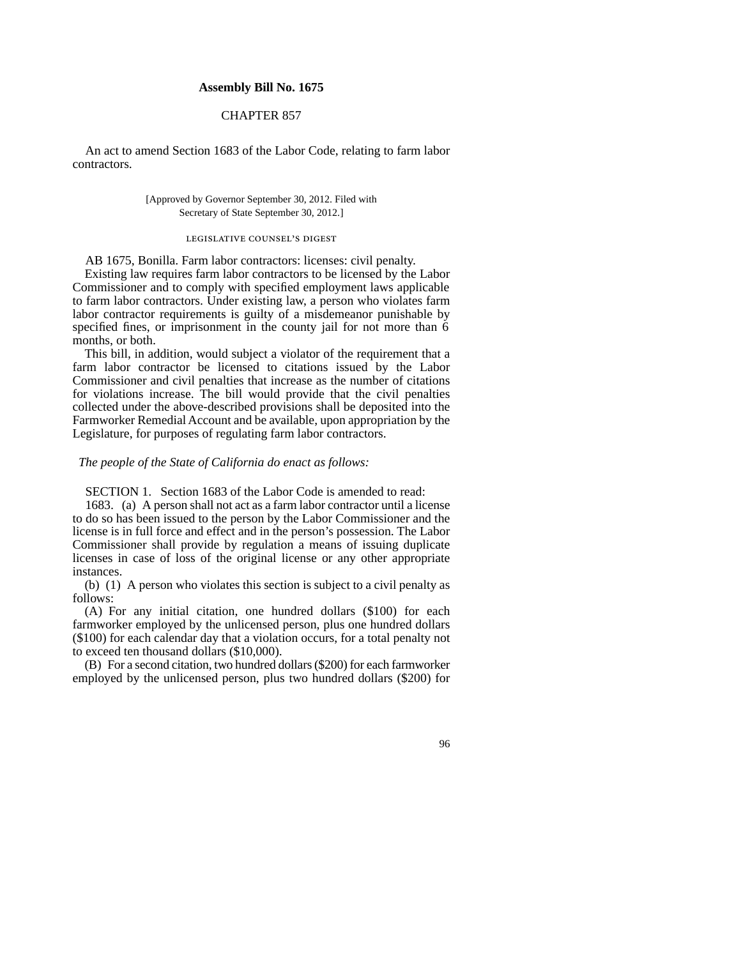## **Assembly Bill No. 1675**

# CHAPTER 857

An act to amend Section 1683 of the Labor Code, relating to farm labor contractors.

### [Approved by Governor September 30, 2012. Filed with Secretary of State September 30, 2012.]

# legislative counsel' s digest

AB 1675, Bonilla. Farm labor contractors: licenses: civil penalty.

Existing law requires farm labor contractors to be licensed by the Labor Commissioner and to comply with specified employment laws applicable to farm labor contractors. Under existing law, a person who violates farm labor contractor requirements is guilty of a misdemeanor punishable by specified fines, or imprisonment in the county jail for not more than 6 months, or both.

This bill, in addition, would subject a violator of the requirement that a farm labor contractor be licensed to citations issued by the Labor Commissioner and civil penalties that increase as the number of citations for violations increase. The bill would provide that the civil penalties collected under the above-described provisions shall be deposited into the Farmworker Remedial Account and be available, upon appropriation by the Legislature, for purposes of regulating farm labor contractors.

#### *The people of the State of California do enact as follows:*

SECTION 1. Section 1683 of the Labor Code is amended to read:

1683. (a) A person shall not act as a farm labor contractor until a license to do so has been issued to the person by the Labor Commissioner and the license is in full force and effect and in the person's possession. The Labor Commissioner shall provide by regulation a means of issuing duplicate licenses in case of loss of the original license or any other appropriate instances.

(b) (1) A person who violates this section is subject to a civil penalty as follows:

(A) For any initial citation, one hundred dollars (\$100) for each farmworker employed by the unlicensed person, plus one hundred dollars (\$100) for each calendar day that a violation occurs, for a total penalty not to exceed ten thousand dollars (\$10,000).

(B) For a second citation, two hundred dollars (\$200) for each farmworker employed by the unlicensed person, plus two hundred dollars (\$200) for

## 96